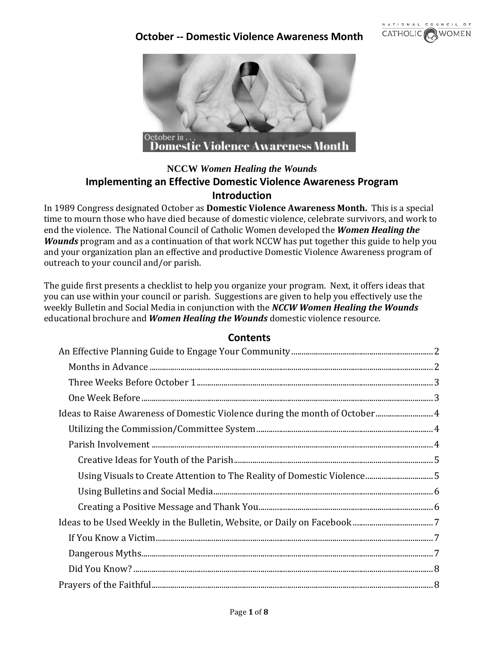



## **NCCW** *Women Healing the Wounds* **Implementing an Effective Domestic Violence Awareness Program Introduction**

In 1989 Congress designated October as **Domestic Violence Awareness Month.** This is a special time to mourn those who have died because of domestic violence, celebrate survivors, and work to end the violence. The National Council of Catholic Women developed the *Women Healing the Wounds* program and as a continuation of that work NCCW has put together this guide to help you and your organization plan an effective and productive Domestic Violence Awareness program of outreach to your council and/or parish.

The guide first presents a checklist to help you organize your program. Next, it offers ideas that you can use within your council or parish. Suggestions are given to help you effectively use the weekly Bulletin and Social Media in conjunction with the *NCCW Women Healing the Wounds* educational brochure and *Women Healing the Wounds* domestic violence resource.

### **Contents**

| Ideas to Raise Awareness of Domestic Violence during the month of October 4 |  |
|-----------------------------------------------------------------------------|--|
|                                                                             |  |
|                                                                             |  |
|                                                                             |  |
| Using Visuals to Create Attention to The Reality of Domestic Violence5      |  |
|                                                                             |  |
|                                                                             |  |
|                                                                             |  |
|                                                                             |  |
|                                                                             |  |
|                                                                             |  |
|                                                                             |  |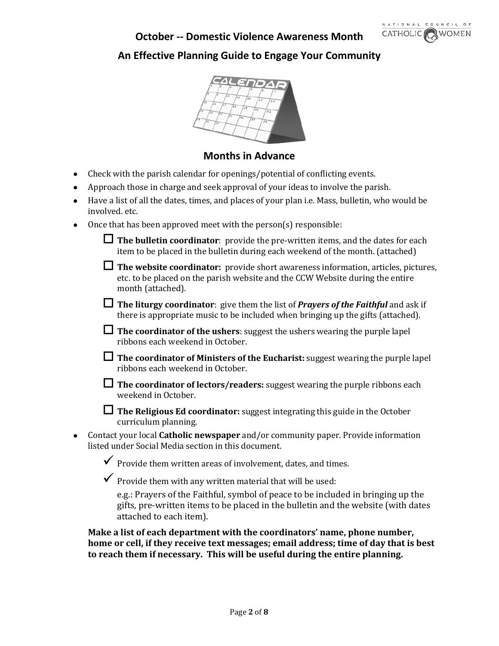

# <span id="page-1-0"></span>**An Effective Planning Guide to Engage Your Community**



### **Months in Advance**

- <span id="page-1-1"></span>• Check with the parish calendar for openings/potential of conflicting events.
- Approach those in charge and seek approval of your ideas to involve the parish.
- Have a list of all the dates, times, and places of your plan i.e. Mass, bulletin, who would be involved. etc.
- Once that has been approved meet with the person(s) responsible:

| $\Box$ The bulletin coordinator: provide the pre-written items, and the dates for each |
|----------------------------------------------------------------------------------------|
| item to be placed in the bulletin during each weekend of the month. (attached)         |

- **The website coordinator:** provide short awareness information, articles, pictures, etc. to be placed on the parish website and the CCW Website during the entire month (attached).
- **The liturgy coordinator**: give them the list of *Prayers of the Faithful* and ask if there is appropriate music to be included when bringing up the gifts (attached).
- **The coordinator of the ushers**: suggest the ushers wearing the purple lapel ribbons each weekend in October.
- **The coordinator of Ministers of the Eucharist:** suggest wearing the purple lapel ribbons each weekend in October.
- **The coordinator of lectors/readers:** suggest wearing the purple ribbons each weekend in October.
- **The Religious Ed coordinator:** suggest integrating this guide in the October curriculum planning.
- Contact your local **Catholic newspaper** and/or community paper. Provide information listed under Social Media section in this document.

 $\checkmark$  Provide them written areas of involvement, dates, and times.

 $\checkmark$  Provide them with any written material that will be used:

e.g.: Prayers of the Faithful, symbol of peace to be included in bringing up the gifts, pre-written items to be placed in the bulletin and the website (with dates attached to each item).

**Make a list of each department with the coordinators' name, phone number, home or cell, if they receive text messages; email address; time of day that is best to reach them if necessary. This will be useful during the entire planning.**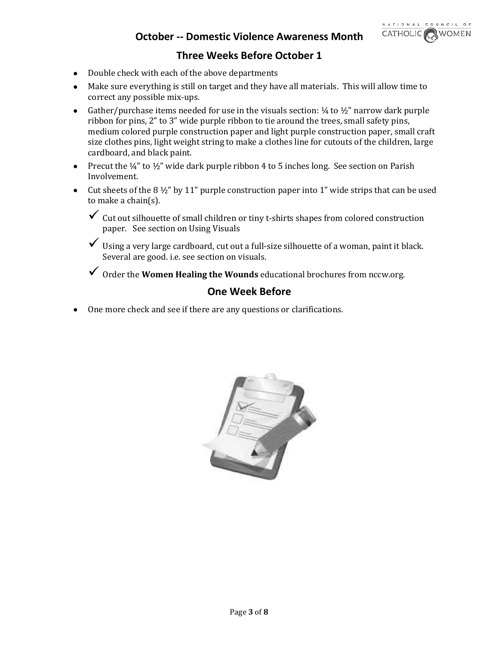

## **Three Weeks Before October 1**

- <span id="page-2-0"></span>• Double check with each of the above departments
- Make sure everything is still on target and they have all materials. This will allow time to correct any possible mix-ups.
- Gather/purchase items needed for use in the visuals section:  $\frac{1}{4}$  to  $\frac{1}{2}$ " narrow dark purple ribbon for pins, 2" to 3" wide purple ribbon to tie around the trees, small safety pins, medium colored purple construction paper and light purple construction paper, small craft size clothes pins, light weight string to make a clothes line for cutouts of the children, large cardboard, and black paint.
- Precut the  $\frac{1}{4}$ " to  $\frac{1}{2}$ " wide dark purple ribbon 4 to 5 inches long. See section on Parish Involvement.
- Cut sheets of the 8  $\frac{1}{2}$ " by 11" purple construction paper into 1" wide strips that can be used to make a chain(s).
	- $\checkmark$  Cut out silhouette of small children or tiny t-shirts shapes from colored construction paper. See section on Using Visuals
	- $\checkmark$  Using a very large cardboard, cut out a full-size silhouette of a woman, paint it black. Several are good. i.e. see section on visuals.
	- Order the **Women Healing the Wounds** educational brochures from nccw.org.

### **One Week Before**

<span id="page-2-1"></span>• One more check and see if there are any questions or clarifications.

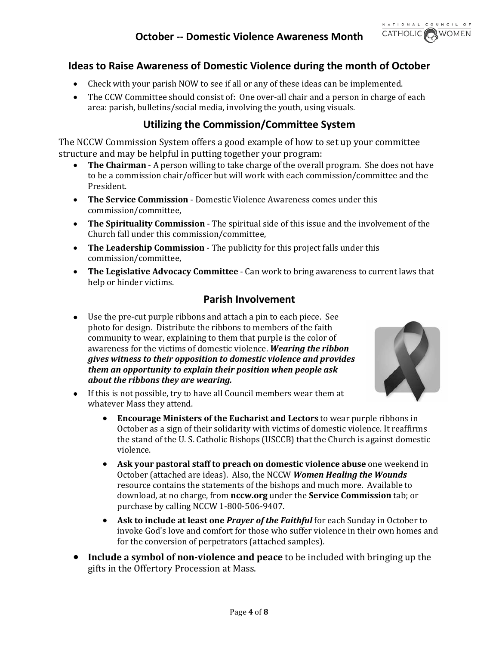

## <span id="page-3-0"></span>**Ideas to Raise Awareness of Domestic Violence during the month of October**

- Check with your parish NOW to see if all or any of these ideas can be implemented.
- The CCW Committee should consist of: One over-all chair and a person in charge of each area: parish, bulletins/social media, involving the youth, using visuals.

## **Utilizing the Commission/Committee System**

<span id="page-3-1"></span>The NCCW Commission System offers a good example of how to set up your committee structure and may be helpful in putting together your program:

- **The Chairman** A person willing to take charge of the overall program. She does not have to be a commission chair/officer but will work with each commission/committee and the President.
- **The Service Commission**  Domestic Violence Awareness comes under this commission/committee,
- **The Spirituality Commission** The spiritual side of this issue and the involvement of the Church fall under this commission/committee,
- **The Leadership Commission** The publicity for this project falls under this commission/committee,
- **The Legislative Advocacy Committee** Can work to bring awareness to current laws that help or hinder victims.

### **Parish Involvement**

<span id="page-3-2"></span>• Use the pre-cut purple ribbons and attach a pin to each piece. See photo for design. Distribute the ribbons to members of the faith community to wear, explaining to them that purple is the color of awareness for the victims of domestic violence. *Wearing the ribbon gives witness to their opposition to domestic violence and provides them an opportunity to explain their position when people ask about the ribbons they are wearing.*



- If this is not possible, try to have all Council members wear them at whatever Mass they attend.
	- **Encourage Ministers of the Eucharist and Lectors** to wear purple ribbons in October as a sign of their solidarity with victims of domestic violence. It reaffirms the stand of the U. S. Catholic Bishops (USCCB) that the Church is against domestic violence.
	- **Ask your pastoral staff to preach on domestic violence abuse** one weekend in October (attached are ideas). Also, the NCCW *Women Healing the Wounds* resource contains the statements of the bishops and much more. Available to download, at no charge, from **nccw.org** under the **Service Commission** tab; or purchase by calling NCCW 1-800-506-9407.
	- **Ask to include at least one** *Prayer of the Faithful* for each Sunday in October to invoke God's love and comfort for those who suffer violence in their own homes and for the conversion of perpetrators (attached samples).
- **Include a symbol of non-violence and peace** to be included with bringing up the gifts in the Offertory Procession at Mass.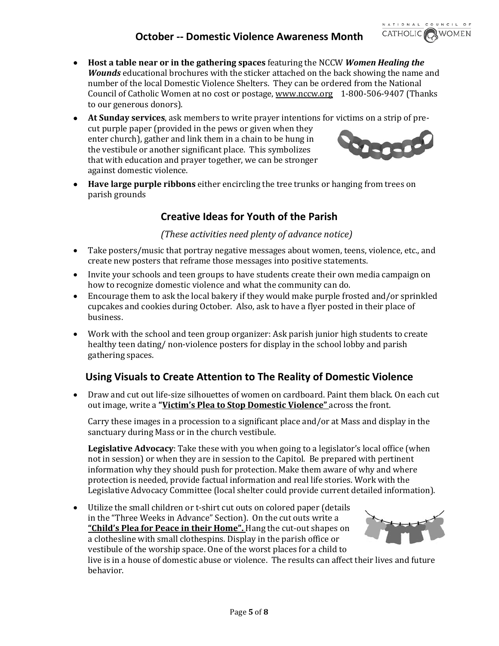

- **Host a table near or in the gathering spaces** featuring the NCCW *Women Healing the Wounds* educational brochures with the sticker attached on the back showing the name and number of the local Domestic Violence Shelters. They can be ordered from the National Council of Catholic Women at no cost or postage, [www.nccw.org](http://www.nccw.org/) 1-800-506-9407 (Thanks to our generous donors).
- **At Sunday services**, ask members to write prayer intentions for victims on a strip of precut purple paper (provided in the pews or given when they enter church), gather and link them in a chain to be hung in the vestibule or another significant place. This symbolizes that with education and prayer together, we can be stronger against domestic violence.
- <span id="page-4-0"></span>• **Have large purple ribbons** either encircling the tree trunks or hanging from trees on parish grounds

## **Creative Ideas for Youth of the Parish**

### *(These activities need plenty of advance notice)*

- Take posters/music that portray negative messages about women, teens, violence, etc., and create new posters that reframe those messages into positive statements.
- Invite your schools and teen groups to have students create their own media campaign on how to recognize domestic violence and what the community can do.
- Encourage them to ask the local bakery if they would make purple frosted and/or sprinkled cupcakes and cookies during October. Also, ask to have a flyer posted in their place of business.
- Work with the school and teen group organizer: Ask parish junior high students to create healthy teen dating/ non-violence posters for display in the school lobby and parish gathering spaces.

# <span id="page-4-1"></span>**Using Visuals to Create Attention to The Reality of Domestic Violence**

• Draw and cut out life-size silhouettes of women on cardboard. Paint them black. On each cut out image, write a **"Victim's Plea to Stop Domestic Violence"** across the front.

Carry these images in a procession to a significant place and/or at Mass and display in the sanctuary during Mass or in the church vestibule.

**Legislative Advocacy**: Take these with you when going to a legislator's local office (when not in session) or when they are in session to the Capitol. Be prepared with pertinent information why they should push for protection. Make them aware of why and where protection is needed, provide factual information and real life stories. Work with the Legislative Advocacy Committee (local shelter could provide current detailed information).

• Utilize the small children or t-shirt cut outs on colored paper (details in the "Three Weeks in Advance" Section). On the cut outs write a **"Child's Plea for Peace in their Home".** Hang the cut-out shapes on a clothesline with small clothespins. Display in the parish office or vestibule of the worship space. One of the worst places for a child to live is in a house of domestic abuse or violence. The results can affect their lives and future behavior.

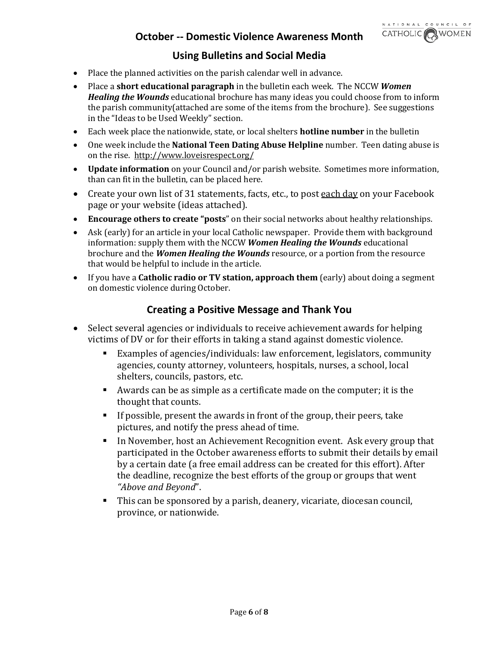## **Using Bulletins and Social Media**

- <span id="page-5-0"></span>• Place the planned activities on the parish calendar well in advance.
- Place a **short educational paragraph** in the bulletin each week. The NCCW *Women Healing the Wounds* educational brochure has many ideas you could choose from to inform the parish community(attached are some of the items from the brochure). See suggestions in the "Ideas to be Used Weekly" section.
- Each week place the nationwide, state, or local shelters **hotline number** in the bulletin**.**
- One week include the **National Teen Dating Abuse Helpline** number. Teen dating abuse is on the rise. <http://www.loveisrespect.org/>
- **Update information** on your Council and/or parish website. Sometimes more information, than can fit in the bulletin, can be placed here.
- Create your own list of 31 statements, facts, etc., to post each day on your Facebook page or your website (ideas attached).
- **Encourage others to create "posts**" on their social networks about healthy relationships.
- Ask (early) for an article in your local Catholic newspaper. Provide them with background information: supply them with the NCCW *Women Healing the Wounds* educational brochure and the *Women Healing the Wounds* resource, or a portion from the resource that would be helpful to include in the article.
- <span id="page-5-1"></span>• If you have a **Catholic radio or TV station, approach them** (early) about doing a segment on domestic violence during October.

### **Creating a Positive Message and Thank You**

- Select several agencies or individuals to receive achievement awards for helping victims of DV or for their efforts in taking a stand against domestic violence.
	- Examples of agencies/individuals: law enforcement, legislators, community agencies, county attorney, volunteers, hospitals, nurses, a school, local shelters, councils, pastors, etc.
	- Awards can be as simple as a certificate made on the computer; it is the thought that counts.
	- If possible, present the awards in front of the group, their peers, take pictures, and notify the press ahead of time.
	- In November, host an Achievement Recognition event. Ask every group that participated in the October awareness efforts to submit their details by email by a certain date (a free email address can be created for this effort). After the deadline, recognize the best efforts of the group or groups that went *"Above and Beyond*".
	- This can be sponsored by a parish, deanery, vicariate, diocesan council, province, or nationwide.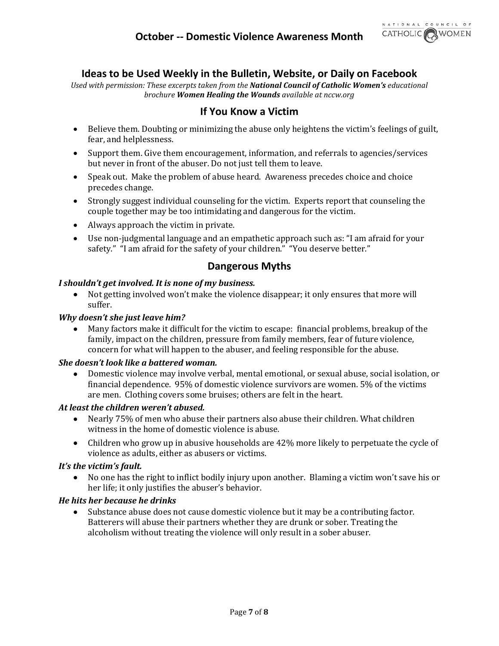

## **Ideas to be Used Weekly in the Bulletin, Website, or Daily on Facebook**

<span id="page-6-1"></span><span id="page-6-0"></span>*Used with permission: These excerpts taken from the National Council of Catholic Women's educational brochure Women Healing the Wounds available at nccw.org*

### **If You Know a Victim**

- Believe them. Doubting or minimizing the abuse only heightens the victim's feelings of guilt, fear, and helplessness.
- Support them. Give them encouragement, information, and referrals to agencies/services but never in front of the abuser. Do not just tell them to leave.
- Speak out. Make the problem of abuse heard. Awareness precedes choice and choice precedes change.
- Strongly suggest individual counseling for the victim. Experts report that counseling the couple together may be too intimidating and dangerous for the victim.
- Always approach the victim in private.
- Use non-judgmental language and an empathetic approach such as: "I am afraid for your safety." "I am afraid for the safety of your children." "You deserve better."

### **Dangerous Myths**

#### <span id="page-6-2"></span>*I shouldn't get involved. It is none of my business.*

• Not getting involved won't make the violence disappear; it only ensures that more will suffer.

#### *Why doesn't she just leave him?*

• Many factors make it difficult for the victim to escape: financial problems, breakup of the family, impact on the children, pressure from family members, fear of future violence, concern for what will happen to the abuser, and feeling responsible for the abuse.

#### *She doesn't look like a battered woman.*

• Domestic violence may involve verbal, mental emotional, or sexual abuse, social isolation, or financial dependence. 95% of domestic violence survivors are women. 5% of the victims are men. Clothing covers some bruises; others are felt in the heart.

#### *At least the children weren't abused.*

- Nearly 75% of men who abuse their partners also abuse their children. What children witness in the home of domestic violence is abuse.
- Children who grow up in abusive households are 42% more likely to perpetuate the cycle of violence as adults, either as abusers or victims.

#### *It's the victim's fault.*

• No one has the right to inflict bodily injury upon another. Blaming a victim won't save his or her life; it only justifies the abuser's behavior.

#### *He hits her because he drinks*

• Substance abuse does not cause domestic violence but it may be a contributing factor. Batterers will abuse their partners whether they are drunk or sober. Treating the alcoholism without treating the violence will only result in a sober abuser.